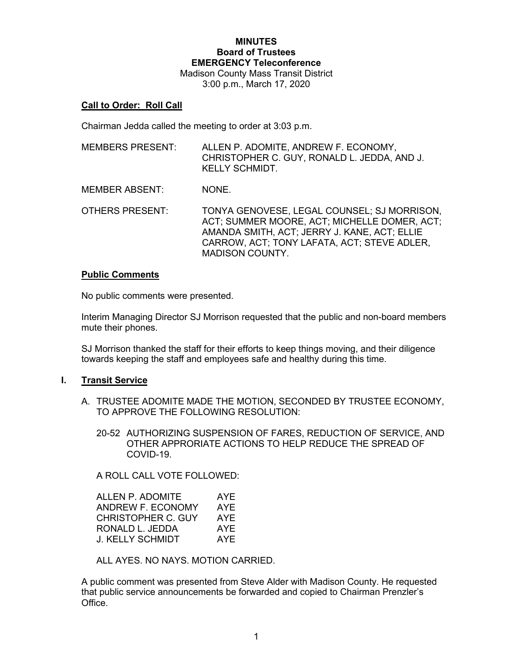# **MINUTES Board of Trustees EMERGENCY Teleconference** Madison County Mass Transit District

3:00 p.m., March 17, 2020

## **Call to Order: Roll Call**

Chairman Jedda called the meeting to order at 3:03 p.m.

| MEMBERS PRESENT: | ALLEN P. ADOMITE, ANDREW F. ECONOMY.<br>CHRISTOPHER C. GUY, RONALD L. JEDDA, AND J.<br>KELLY SCHMIDT. |
|------------------|-------------------------------------------------------------------------------------------------------|
|                  |                                                                                                       |

- MEMBER ABSENT: NONE.
- OTHERS PRESENT: TONYA GENOVESE, LEGAL COUNSEL; SJ MORRISON, ACT; SUMMER MOORE, ACT; MICHELLE DOMER, ACT; AMANDA SMITH, ACT; JERRY J. KANE, ACT; ELLIE CARROW, ACT; TONY LAFATA, ACT; STEVE ADLER, MADISON COUNTY.

#### **Public Comments**

No public comments were presented.

Interim Managing Director SJ Morrison requested that the public and non-board members mute their phones.

SJ Morrison thanked the staff for their efforts to keep things moving, and their diligence towards keeping the staff and employees safe and healthy during this time.

## **I. Transit Service**

- A. TRUSTEE ADOMITE MADE THE MOTION, SECONDED BY TRUSTEE ECONOMY, TO APPROVE THE FOLLOWING RESOLUTION:
	- 20-52 AUTHORIZING SUSPENSION OF FARES, REDUCTION OF SERVICE, AND OTHER APPRORIATE ACTIONS TO HELP REDUCE THE SPREAD OF COVID-19.

A ROLL CALL VOTE FOLLOWED:

| ALLEN P. ADOMITE<br>AYF |     |
|-------------------------|-----|
| ANDREW F. ECONOMY       | AYE |
| CHRISTOPHER C. GUY      | AYF |
| RONALD L. JEDDA         | AYE |
| J. KELLY SCHMIDT        | AYF |

ALL AYES. NO NAYS. MOTION CARRIED.

A public comment was presented from Steve Alder with Madison County. He requested that public service announcements be forwarded and copied to Chairman Prenzler's Office.